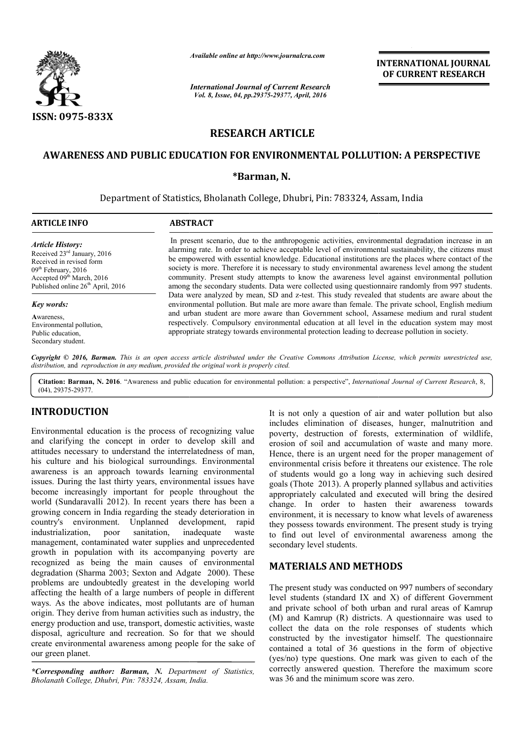

*Available online at http://www.journalcra.com*

*International Journal of Current Research Vol. 8, Issue, 04, pp.29375-29377, April, 2016*

**INTERNATIONAL JOURNAL OF CURRENT RESEARCH** 

# **RESEARCH ARTICLE**

#### **AWARENESS AND PUBLIC EDUCATION FOR ENVIRONMENTAL POLLUTION: A PERSPECTIVE**

### **\*Barman, N.**

Department of Statistics, Bholanath College, Dhubri, Pin: 783324, Assam, India College, Dhubri,  $\overline{a}$ 

#### **ARTICLE INFO ABSTRACT**

*Article History:* Received 23rd January, 2016 Received in revised form 09<sup>th</sup> February, 2016 Accepted 09<sup>th</sup> March, 2016 Published online 26<sup>th</sup> April, 2016

*Key words:*

**A**wareness, Environmental pollution, Public education, Secondary student.

In present scenario, due to the anthropogenic activities, environmental degradation increase in an alarming rate. In order to achieve acceptable level of environmental sustainability, the citizens must be empowered with essential knowledge. Educational institutions are the places where contact of the society is more. Therefore it is necessary to study environmental awareness level among the student community. Present study attempts to know the awareness level against environmental pollution among the secondary students. Data were collected using questionnaire randomly from 997 students. among the secondary students. Data were collected using questionnaire randomly from 997 students.<br>Data were analyzed by mean, SD and z-test. This study revealed that students are aware about the environmental pollution. But male are more aware than female. The private school, English medium and urban student are more aware than Government school, Assamese medium and rural student respectively. Compulsory environmental education at all level in the education system may most appropri appropriate strategy towards environmental protection leading to decrease pollution in society. In present scenario, due to the anthropogenic activities, environmental degradation increase in an alarming rate. In order to achieve acceptable level of environmental sustainability, the citizens must be empowered with es environmental pollution. But male are more aware than female. The private school, English medium<br>and urban student are more aware than Government school, Assamese medium and rural student<br>respectively. Compulsory environme

Copyright © 2016, Barman. This is an open access article distributed under the Creative Commons Attribution License, which permits unrestricted use, *distribution,* and *reproduction in any medium, provided the original work is properly cited.*

Citation: Barman, N. 2016. "Awareness and public education for environmental pollution: a perspective", *International Journal of Current Research*, 8, (04), 29375-29377.

# **INTRODUCTION**

Environmental education is the process of recognizing value and clarifying the concept in order to develop skill and attitudes necessary to understand the interrelatedness of man, his culture and his biological surroundings. Environmental awareness is an approach towards learning environmental issues. During the last thirty years, environmental issues have become increasingly important for people throughout the world (Sundaravalli 2012). In recent years there has been a growing concern in India regarding the steady deterioration in country's environment. Unplanned development, rapid industrialization, poor sanitation, inadequate waste management, contaminated water supplies and unprecedented growth in population with its accompanying poverty are recognized as being the main causes of environmental degradation (Sharma 2003; Sexton and Adgate 2000). These problems are undoubtedly greatest in the developing world affecting the health of a large numbers of people in different ways. As the above indicates, most pollutants are of human origin. They derive from human activities such as industry, the energy production and use, transport, domestic activities, waste disposal, agriculture and recreation. So for that we should create environmental awareness among people for the sake of our green planet. not incomment. Unplanned<br>
on, poor sanitation,<br>
contaminated water supp<br>
opulation with its acco<br>
as being the main cau<br>
Sharma 2003; Sexton and

*\*Corresponding author: Barman, N. Department of Statistics, Bholanath College, Dhubri, Pin: 783324, Assam, India India.*

It is not only a question of air and water pollution but also includes elimination of diseases, hunger, malnutrition and poverty, destruction of forests, extermination of wildlife, erosion of soil and accumulation of waste and many more. erosion of soil and accumulation of waste and many more.<br>Hence, there is an urgent need for the proper management of environmental crisis before it threatens our existence. The role of students would go a long way in achieving such desired goals (Thote 2013). A properly planned syllabus and activities appropriately calculated and executed will bring the desired change. In order to hasten their awareness towards environment, it is necessary to know what levels of awareness they possess towards environment. The present study is trying to find out level of environmental awareness among the secondary level students. It is not only a question of air and water pollution but also includes elimination of diseases, hunger, malnutrition and poverty, destruction of forests, extermination of wildlife, hote 2013). A properly planned syllabus a<br>ately calculated and executed will bring<br>In order to hasten their awarenes<br>nent, it is necessary to know what levels of<br>sess towards environment. The present stu<br>out level of envir **INTERNATIONAL JOURNAL**<br> **INTERNATIONAL DOTE CURRENT RESEARCH**<br> **INTERNATIONAL DOTE CURRENT RESEARCH**<br> **INTERNATION CONSUMED CONSUMERAT (SECURE CURRENT AND CONSUMERAT CURRENT RESEARCH**<br> **IDENTAL POLLUTION:** A PERSPECTIVE

# **MATERIALS AND METHODS METHODS**

The present study was conducted on 997 numbers of secondary level students (standard IX and X) of different Government and private school of both urban and rural areas of Kamrup The present study was conducted on 997 numbers of secondary<br>level students (standard IX and X) of different Government<br>and private school of both urban and rural areas of Kamrup<br>(M) and Kamrup (R) districts. A questionnair collect the data on the role responses of students which constructed by the investigator himself. The questionnaire contained a total of 36 questions in the form of objective (yes/no) type questions. One mark was given to each of correctly answered question. Therefore the maximum score was 36 and the minimum score was zero. collect the data on the role responses of students which constructed by the investigator himself. The questionnaire contained a total of 36 questions in the form of objective (yes/no) type questions. One mark was given to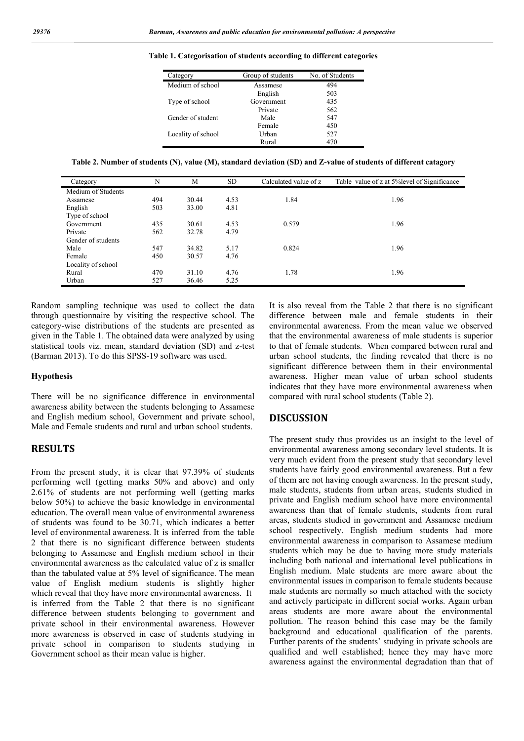| Category           | Group of students | No. of Students |
|--------------------|-------------------|-----------------|
| Medium of school   | Assamese          | 494             |
|                    | English           | 503             |
| Type of school     | Government        | 435             |
|                    | Private           | 562             |
| Gender of student  | Male              | 547             |
|                    | Female            | 450             |
| Locality of school | Urban             | 527             |
|                    | Rural             | 470             |

**Table 1. Categorisation of students according to different categories**

**Table 2. Number of students (N), value (M), standard deviation (SD) and Z-value of students of different catagory**

| Category           | N   | M     | <b>SD</b> | Calculated value of z | Table value of z at 5% level of Significance |
|--------------------|-----|-------|-----------|-----------------------|----------------------------------------------|
| Medium of Students |     |       |           |                       |                                              |
| Assamese           | 494 | 30.44 | 4.53      | 1.84                  | 1.96                                         |
| English            | 503 | 33.00 | 4.81      |                       |                                              |
| Type of school     |     |       |           |                       |                                              |
| Government         | 435 | 30.61 | 4.53      | 0.579                 | 1.96                                         |
| Private            | 562 | 32.78 | 4.79      |                       |                                              |
| Gender of students |     |       |           |                       |                                              |
| Male               | 547 | 34.82 | 5.17      | 0.824                 | 1.96                                         |
| Female             | 450 | 30.57 | 4.76      |                       |                                              |
| Locality of school |     |       |           |                       |                                              |
| Rural              | 470 | 31.10 | 4.76      | 1.78                  | 1.96                                         |
| Urban              | 527 | 36.46 | 5.25      |                       |                                              |

Random sampling technique was used to collect the data through questionnaire by visiting the respective school. The category-wise distributions of the students are presented as given in the Table 1. The obtained data were analyzed by using statistical tools viz. mean, standard deviation (SD) and z-test (Barman 2013). To do this SPSS-19 software was used.

#### **Hypothesis**

There will be no significance difference in environmental awareness ability between the students belonging to Assamese and English medium school, Government and private school, Male and Female students and rural and urban school students.

# **RESULTS**

From the present study, it is clear that 97.39% of students performing well (getting marks 50% and above) and only 2.61% of students are not performing well (getting marks below 50%) to achieve the basic knowledge in environmental education. The overall mean value of environmental awareness of students was found to be 30.71, which indicates a better level of environmental awareness. It is inferred from the table 2 that there is no significant difference between students belonging to Assamese and English medium school in their environmental awareness as the calculated value of z is smaller than the tabulated value at 5% level of significance. The mean value of English medium students is slightly higher which reveal that they have more environmental awareness. It is inferred from the Table 2 that there is no significant difference between students belonging to government and private school in their environmental awareness. However more awareness is observed in case of students studying in private school in comparison to students studying in Government school as their mean value is higher.

It is also reveal from the Table 2 that there is no significant difference between male and female students in their environmental awareness. From the mean value we observed that the environmental awareness of male students is superior to that of female students. When compared between rural and urban school students, the finding revealed that there is no significant difference between them in their environmental awareness. Higher mean value of urban school students indicates that they have more environmental awareness when compared with rural school students (Table 2).

## **DISCUSSION**

The present study thus provides us an insight to the level of environmental awareness among secondary level students. It is very much evident from the present study that secondary level students have fairly good environmental awareness. But a few of them are not having enough awareness. In the present study, male students, students from urban areas, students studied in private and English medium school have more environmental awareness than that of female students, students from rural areas, students studied in government and Assamese medium school respectively. English medium students had more environmental awareness in comparison to Assamese medium students which may be due to having more study materials including both national and international level publications in English medium. Male students are more aware about the environmental issues in comparison to female students because male students are normally so much attached with the society and actively participate in different social works. Again urban areas students are more aware about the environmental pollution. The reason behind this case may be the family background and educational qualification of the parents. Further parents of the students' studying in private schools are qualified and well established; hence they may have more awareness against the environmental degradation than that of